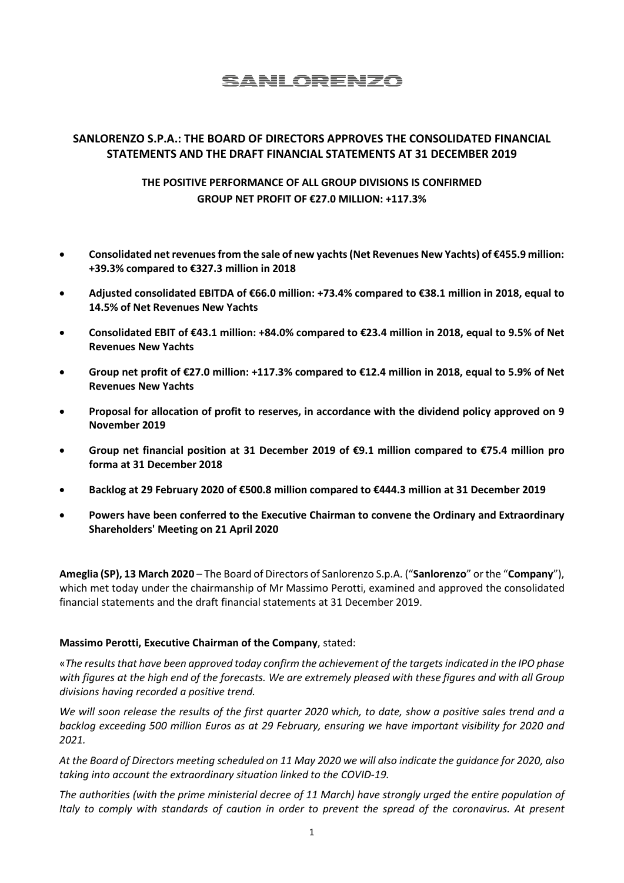# **SANLORENZO**

# **SANLORENZO S.P.A.: THE BOARD OF DIRECTORS APPROVES THE CONSOLIDATED FINANCIAL STATEMENTS AND THE DRAFT FINANCIAL STATEMENTS AT 31 DECEMBER 2019**

# **THE POSITIVE PERFORMANCE OF ALL GROUP DIVISIONS IS CONFIRMED GROUP NET PROFIT OF €27.0 MILLION: +117.3%**

- **Consolidated net revenues from the sale of new yachts(Net Revenues New Yachts) of €455.9 million: +39.3% compared to €327.3 million in 2018**
- **Adjusted consolidated EBITDA of €66.0 million: +73.4% compared to €38.1 million in 2018, equal to 14.5% of Net Revenues New Yachts**
- **Consolidated EBIT of €43.1 million: +84.0% compared to €23.4 million in 2018, equal to 9.5% of Net Revenues New Yachts**
- **Group net profit of €27.0 million: +117.3% compared to €12.4 million in 2018, equal to 5.9% of Net Revenues New Yachts**
- **Proposal for allocation of profit to reserves, in accordance with the dividend policy approved on 9 November 2019**
- **Group net financial position at 31 December 2019 of €9.1 million compared to €75.4 million pro forma at 31 December 2018**
- **Backlog at 29 February 2020 of €500.8 million compared to €444.3 million at 31 December 2019**
- **Powers have been conferred to the Executive Chairman to convene the Ordinary and Extraordinary Shareholders' Meeting on 21 April 2020**

**Ameglia (SP), 13 March 2020** – The Board of Directors of Sanlorenzo S.p.A. ("**Sanlorenzo**" or the "**Company**"), which met today under the chairmanship of Mr Massimo Perotti, examined and approved the consolidated financial statements and the draft financial statements at 31 December 2019.

#### **Massimo Perotti, Executive Chairman of the Company**, stated:

«*The results that have been approved today confirm the achievement of the targets indicated in the IPO phase with figures at the high end of the forecasts. We are extremely pleased with these figures and with all Group divisions having recorded a positive trend.*

*We will soon release the results of the first quarter 2020 which, to date, show a positive sales trend and a backlog exceeding 500 million Euros as at 29 February, ensuring we have important visibility for 2020 and 2021.*

*At the Board of Directors meeting scheduled on 11 May 2020 we will also indicate the guidance for 2020, also taking into account the extraordinary situation linked to the COVID-19.*

*The authorities (with the prime ministerial decree of 11 March) have strongly urged the entire population of Italy to comply with standards of caution in order to prevent the spread of the coronavirus. At present*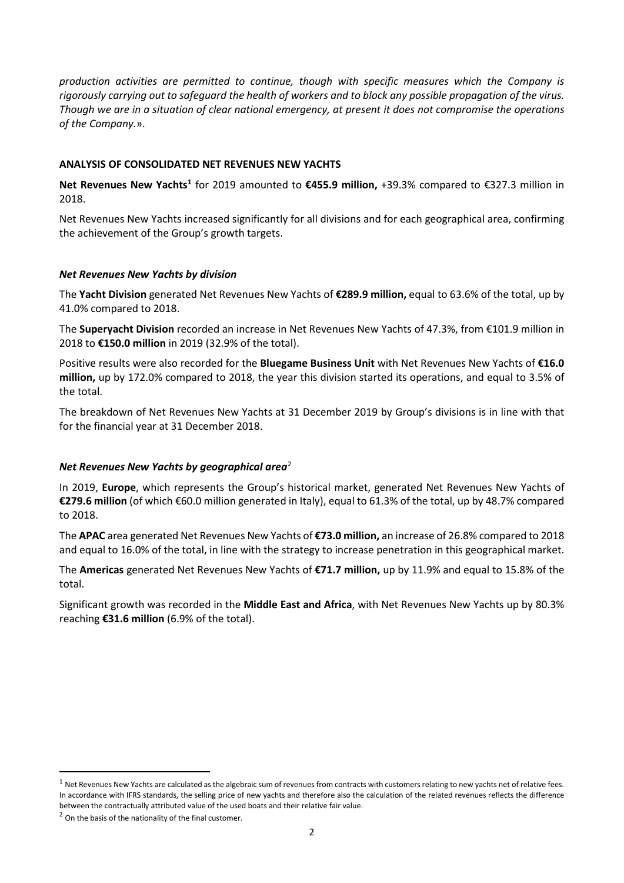*production activities are permitted to continue, though with specific measures which the Company is rigorously carrying out to safeguard the health of workers and to block any possible propagation of the virus. Though we are in a situation of clear national emergency, at present it does not compromise the operations of the Company.*».

#### **ANALYSIS OF CONSOLIDATED NET REVENUES NEW YACHTS**

**Net Revenues New Yachts[1](#page-1-0)** for 2019 amounted to **€455.9 million,** +39.3% compared to €327.3 million in 2018.

Net Revenues New Yachts increased significantly for all divisions and for each geographical area, confirming the achievement of the Group's growth targets.

### *Net Revenues New Yachts by division*

The **Yacht Division** generated Net Revenues New Yachts of **€289.9 million,** equal to 63.6% of the total, up by 41.0% compared to 2018.

The **Superyacht Division** recorded an increase in Net Revenues New Yachts of 47.3%, from €101.9 million in 2018 to **€150.0 million** in 2019 (32.9% of the total).

Positive results were also recorded for the **Bluegame Business Unit** with Net Revenues New Yachts of **€16.0 million,** up by 172.0% compared to 2018, the year this division started its operations, and equal to 3.5% of the total.

The breakdown of Net Revenues New Yachts at 31 December 2019 by Group's divisions is in line with that for the financial year at 31 December 2018.

# *Net Revenues New Yachts by geographical area*[2](#page-1-1)

In 2019, **Europe**, which represents the Group's historical market, generated Net Revenues New Yachts of **€279.6 million** (of which €60.0 million generated in Italy), equal to 61.3% of the total, up by 48.7% compared to 2018.

The **APAC** area generated Net Revenues New Yachts of **€73.0 million,** an increase of 26.8% compared to 2018 and equal to 16.0% of the total, in line with the strategy to increase penetration in this geographical market.

The **Americas** generated Net Revenues New Yachts of **€71.7 million,** up by 11.9% and equal to 15.8% of the total.

Significant growth was recorded in the **Middle East and Africa**, with Net Revenues New Yachts up by 80.3% reaching **€31.6 million** (6.9% of the total).

<span id="page-1-0"></span> $1$  Net Revenues New Yachts are calculated as the algebraic sum of revenues from contracts with customers relating to new yachts net of relative fees. In accordance with IFRS standards, the selling price of new yachts and therefore also the calculation of the related revenues reflects the difference between the contractually attributed value of the used boats and their relative fair value.

<span id="page-1-1"></span> $2$  On the basis of the nationality of the final customer.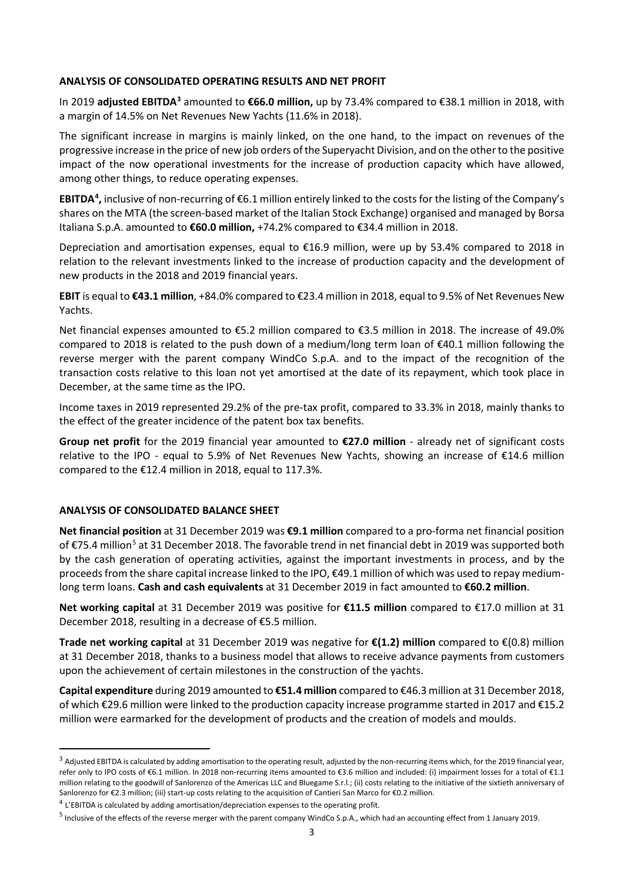#### **ANALYSIS OF CONSOLIDATED OPERATING RESULTS AND NET PROFIT**

In 2019 **adjusted EBITDA[3](#page-2-0)** amounted to **€66.0 million,** up by 73.4% compared to €38.1 million in 2018, with a margin of 14.5% on Net Revenues New Yachts (11.6% in 2018).

The significant increase in margins is mainly linked, on the one hand, to the impact on revenues of the progressive increase in the price of new job orders of the Superyacht Division, and on the other to the positive impact of the now operational investments for the increase of production capacity which have allowed, among other things, to reduce operating expenses.

**EBITDA<sup>[4](#page-2-1)</sup>**, inclusive of non-recurring of €6.1 million entirely linked to the costs for the listing of the Company's shares on the MTA (the screen-based market of the Italian Stock Exchange) organised and managed by Borsa Italiana S.p.A. amounted to **€60.0 million,** +74.2% compared to €34.4 million in 2018.

Depreciation and amortisation expenses, equal to €16.9 million, were up by 53.4% compared to 2018 in relation to the relevant investments linked to the increase of production capacity and the development of new products in the 2018 and 2019 financial years.

**EBIT** is equal to **€43.1 million**, +84.0% compared to €23.4 million in 2018, equal to 9.5% of Net Revenues New Yachts.

Net financial expenses amounted to €5.2 million compared to €3.5 million in 2018. The increase of 49.0% compared to 2018 is related to the push down of a medium/long term loan of €40.1 million following the reverse merger with the parent company WindCo S.p.A. and to the impact of the recognition of the transaction costs relative to this loan not yet amortised at the date of its repayment, which took place in December, at the same time as the IPO.

Income taxes in 2019 represented 29.2% of the pre-tax profit, compared to 33.3% in 2018, mainly thanks to the effect of the greater incidence of the patent box tax benefits.

**Group net profit** for the 2019 financial year amounted to **€27.0 million** - already net of significant costs relative to the IPO - equal to 5.9% of Net Revenues New Yachts, showing an increase of €14.6 million compared to the €12.4 million in 2018, equal to 117.3%.

# **ANALYSIS OF CONSOLIDATED BALANCE SHEET**

**Net financial position** at 31 December 2019 was **€9.1 million** compared to a pro-forma net financial position of €75.4 million<sup>5</sup> at 31 December 2018. The favorable trend in net financial debt in 2019 was supported both by the cash generation of operating activities, against the important investments in process, and by the proceeds from the share capital increase linked to the IPO, €49.1 million of which was used to repay mediumlong term loans. **Cash and cash equivalents** at 31 December 2019 in fact amounted to **€60.2 million**.

**Net working capital** at 31 December 2019 was positive for **€11.5 million** compared to €17.0 million at 31 December 2018, resulting in a decrease of €5.5 million.

**Trade net working capital** at 31 December 2019 was negative for **€(1.2) million** compared to €(0.8) million at 31 December 2018, thanks to a business model that allows to receive advance payments from customers upon the achievement of certain milestones in the construction of the yachts.

**Capital expenditure** during 2019 amounted to **€51.4 million** compared to €46.3 million at 31 December 2018, of which €29.6 million were linked to the production capacity increase programme started in 2017 and €15.2 million were earmarked for the development of products and the creation of models and moulds.

<span id="page-2-0"></span><sup>&</sup>lt;sup>3</sup> Adjusted EBITDA is calculated by adding amortisation to the operating result, adjusted by the non-recurring items which, for the 2019 financial year, refer only to IPO costs of €6.1 million. In 2018 non-recurring items amounted to €3.6 million and included: (i) impairment losses for a total of €1.1 million relating to the goodwill of Sanlorenzo of the Americas LLC and Bluegame S.r.l.; (ii) costs relating to the initiative of the sixtieth anniversary of Sanlorenzo for €2.3 million; (iii) start-up costs relating to the acquisition of Cantieri San Marco for €0.2 million.

<span id="page-2-1"></span><sup>4</sup> L'EBITDA is calculated by adding amortisation/depreciation expenses to the operating profit.

<span id="page-2-2"></span><sup>5</sup> Inclusive of the effects of the reverse merger with the parent company WindCo S.p.A., which had an accounting effect from 1 January 2019.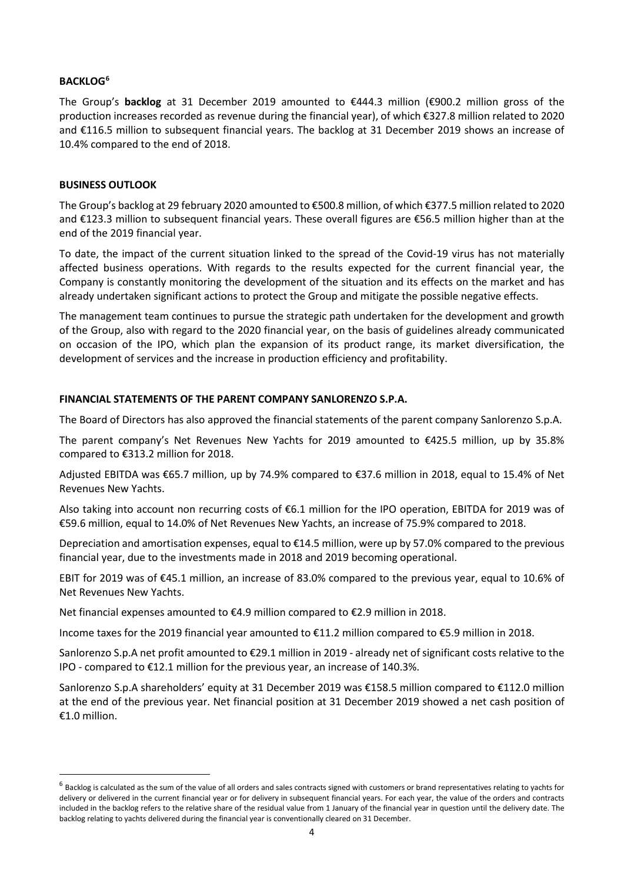### **BACKLOG[6](#page-3-0)**

The Group's **backlog** at 31 December 2019 amounted to €444.3 million (€900.2 million gross of the production increases recorded as revenue during the financial year), of which €327.8 million related to 2020 and €116.5 million to subsequent financial years. The backlog at 31 December 2019 shows an increase of 10.4% compared to the end of 2018.

#### **BUSINESS OUTLOOK**

The Group's backlog at 29 february 2020 amounted to €500.8 million, of which €377.5 million related to 2020 and €123.3 million to subsequent financial years. These overall figures are €56.5 million higher than at the end of the 2019 financial year.

To date, the impact of the current situation linked to the spread of the Covid-19 virus has not materially affected business operations. With regards to the results expected for the current financial year, the Company is constantly monitoring the development of the situation and its effects on the market and has already undertaken significant actions to protect the Group and mitigate the possible negative effects.

The management team continues to pursue the strategic path undertaken for the development and growth of the Group, also with regard to the 2020 financial year, on the basis of guidelines already communicated on occasion of the IPO, which plan the expansion of its product range, its market diversification, the development of services and the increase in production efficiency and profitability.

#### **FINANCIAL STATEMENTS OF THE PARENT COMPANY SANLORENZO S.P.A.**

The Board of Directors has also approved the financial statements of the parent company Sanlorenzo S.p.A.

The parent company's Net Revenues New Yachts for 2019 amounted to €425.5 million, up by 35.8% compared to €313.2 million for 2018.

Adjusted EBITDA was €65.7 million, up by 74.9% compared to €37.6 million in 2018, equal to 15.4% of Net Revenues New Yachts.

Also taking into account non recurring costs of €6.1 million for the IPO operation, EBITDA for 2019 was of €59.6 million, equal to 14.0% of Net Revenues New Yachts, an increase of 75.9% compared to 2018.

Depreciation and amortisation expenses, equal to €14.5 million, were up by 57.0% compared to the previous financial year, due to the investments made in 2018 and 2019 becoming operational.

EBIT for 2019 was of €45.1 million, an increase of 83.0% compared to the previous year, equal to 10.6% of Net Revenues New Yachts.

Net financial expenses amounted to €4.9 million compared to €2.9 million in 2018.

Income taxes for the 2019 financial year amounted to €11.2 million compared to €5.9 million in 2018.

Sanlorenzo S.p.A net profit amounted to €29.1 million in 2019 - already net of significant costs relative to the IPO - compared to €12.1 million for the previous year, an increase of 140.3%.

Sanlorenzo S.p.A shareholders' equity at 31 December 2019 was €158.5 million compared to €112.0 million at the end of the previous year. Net financial position at 31 December 2019 showed a net cash position of €1.0 million.

<span id="page-3-0"></span> $<sup>6</sup>$  Backlog is calculated as the sum of the value of all orders and sales contracts signed with customers or brand representatives relating to yachts for</sup> delivery or delivered in the current financial year or for delivery in subsequent financial years. For each year, the value of the orders and contracts included in the backlog refers to the relative share of the residual value from 1 January of the financial year in question until the delivery date. The backlog relating to yachts delivered during the financial year is conventionally cleared on 31 December.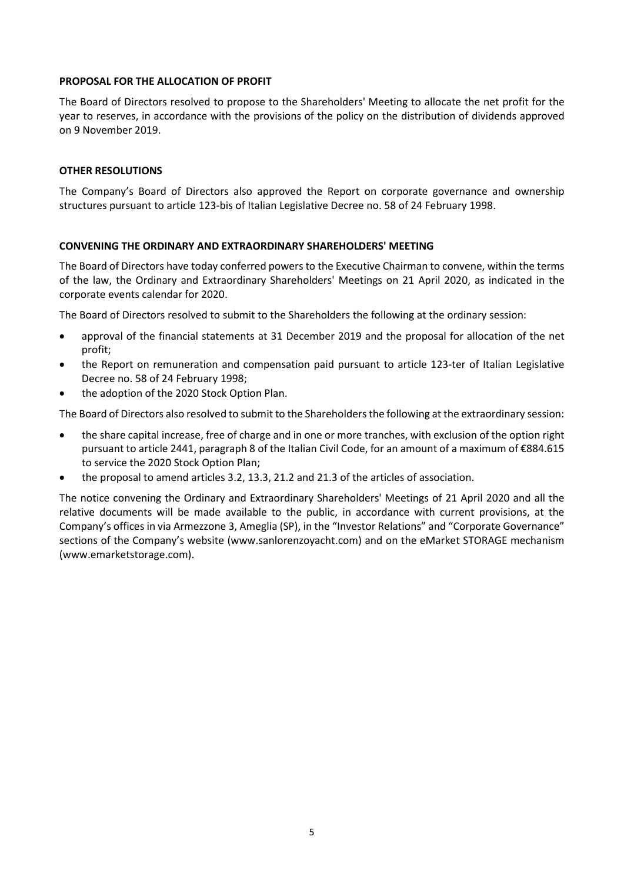#### **PROPOSAL FOR THE ALLOCATION OF PROFIT**

The Board of Directors resolved to propose to the Shareholders' Meeting to allocate the net profit for the year to reserves, in accordance with the provisions of the policy on the distribution of dividends approved on 9 November 2019.

#### **OTHER RESOLUTIONS**

The Company's Board of Directors also approved the Report on corporate governance and ownership structures pursuant to article 123-bis of Italian Legislative Decree no. 58 of 24 February 1998.

#### **CONVENING THE ORDINARY AND EXTRAORDINARY SHAREHOLDERS' MEETING**

The Board of Directors have today conferred powers to the Executive Chairman to convene, within the terms of the law, the Ordinary and Extraordinary Shareholders' Meetings on 21 April 2020, as indicated in the corporate events calendar for 2020.

The Board of Directors resolved to submit to the Shareholders the following at the ordinary session:

- approval of the financial statements at 31 December 2019 and the proposal for allocation of the net profit;
- the Report on remuneration and compensation paid pursuant to article 123-ter of Italian Legislative Decree no. 58 of 24 February 1998;
- the adoption of the 2020 Stock Option Plan.

The Board of Directors also resolved to submit to the Shareholders the following at the extraordinary session:

- the share capital increase, free of charge and in one or more tranches, with exclusion of the option right pursuant to article 2441, paragraph 8 of the Italian Civil Code, for an amount of a maximum of €884.615 to service the 2020 Stock Option Plan;
- the proposal to amend articles 3.2, 13.3, 21.2 and 21.3 of the articles of association.

The notice convening the Ordinary and Extraordinary Shareholders' Meetings of 21 April 2020 and all the relative documents will be made available to the public, in accordance with current provisions, at the Company's offices in via Armezzone 3, Ameglia (SP), in the "Investor Relations" and "Corporate Governance" sections of the Company's website (www.sanlorenzoyacht.com) and on the eMarket STORAGE mechanism (www.emarketstorage.com).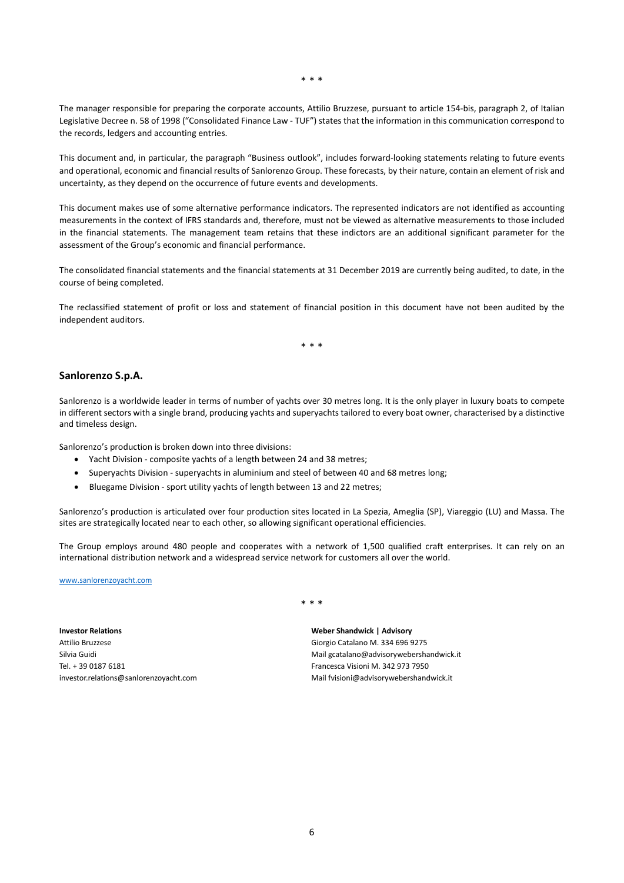The manager responsible for preparing the corporate accounts, Attilio Bruzzese, pursuant to article 154-bis, paragraph 2, of Italian Legislative Decree n. 58 of 1998 ("Consolidated Finance Law - TUF") states that the information in this communication correspond to the records, ledgers and accounting entries.

This document and, in particular, the paragraph "Business outlook", includes forward-looking statements relating to future events and operational, economic and financial results of Sanlorenzo Group. These forecasts, by their nature, contain an element of risk and uncertainty, as they depend on the occurrence of future events and developments.

This document makes use of some alternative performance indicators. The represented indicators are not identified as accounting measurements in the context of IFRS standards and, therefore, must not be viewed as alternative measurements to those included in the financial statements. The management team retains that these indictors are an additional significant parameter for the assessment of the Group's economic and financial performance.

The consolidated financial statements and the financial statements at 31 December 2019 are currently being audited, to date, in the course of being completed.

The reclassified statement of profit or loss and statement of financial position in this document have not been audited by the independent auditors.

\* \* \*

#### **Sanlorenzo S.p.A.**

Sanlorenzo is a worldwide leader in terms of number of yachts over 30 metres long. It is the only player in luxury boats to compete in different sectors with a single brand, producing yachts and superyachts tailored to every boat owner, characterised by a distinctive and timeless design.

Sanlorenzo's production is broken down into three divisions:

- Yacht Division composite yachts of a length between 24 and 38 metres;
- Superyachts Division superyachts in aluminium and steel of between 40 and 68 metres long;
- Bluegame Division sport utility yachts of length between 13 and 22 metres;

Sanlorenzo's production is articulated over four production sites located in La Spezia, Ameglia (SP), Viareggio (LU) and Massa. The sites are strategically located near to each other, so allowing significant operational efficiencies.

The Group employs around 480 people and cooperates with a network of 1,500 qualified craft enterprises. It can rely on an international distribution network and a widespread service network for customers all over the world.

[www.sanlorenzoyacht.com](http://www.sanlorenzoyacht.com/)

**Investor Relations** Attilio Bruzzese Silvia Guidi Tel. + 39 0187 6181 investor.relations@sanlorenzoyacht.com \* \* \*

**Weber Shandwick | Advisory** Giorgio Catalano M. 334 696 9275 Mail gcatalano@advisorywebershandwick.it Francesca Visioni M. 342 973 7950 Mail fvisioni@advisorywebershandwick.it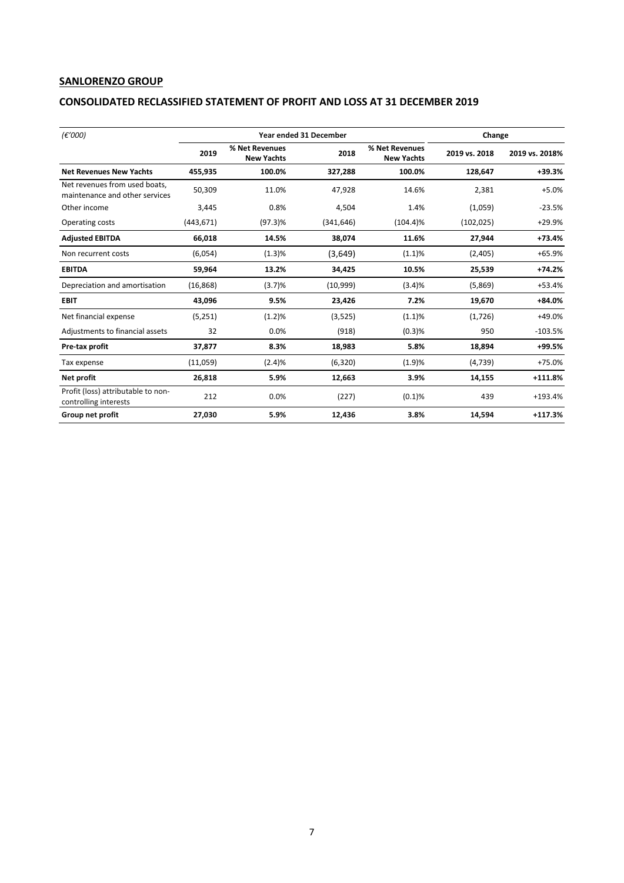# **SANLORENZO GROUP**

### **CONSOLIDATED RECLASSIFIED STATEMENT OF PROFIT AND LOSS AT 31 DECEMBER 2019**

| (€'000)                                                         |            | <b>Year ended 31 December</b>       | Change     |                                     |               |                |
|-----------------------------------------------------------------|------------|-------------------------------------|------------|-------------------------------------|---------------|----------------|
|                                                                 | 2019       | % Net Revenues<br><b>New Yachts</b> | 2018       | % Net Revenues<br><b>New Yachts</b> | 2019 vs. 2018 | 2019 vs. 2018% |
| <b>Net Revenues New Yachts</b>                                  | 455.935    | 100.0%                              | 327.288    | 100.0%                              | 128.647       | $+39.3%$       |
| Net revenues from used boats,<br>maintenance and other services | 50,309     | 11.0%                               | 47.928     | 14.6%                               | 2.381         | $+5.0%$        |
| Other income                                                    | 3,445      | 0.8%                                | 4,504      | 1.4%                                | (1,059)       | $-23.5%$       |
| Operating costs                                                 | (443, 671) | $(97.3)\%$                          | (341, 646) | $(104.4)\%$                         | (102, 025)    | $+29.9%$       |
| <b>Adjusted EBITDA</b>                                          | 66,018     | 14.5%                               | 38,074     | 11.6%                               | 27,944        | $+73.4%$       |
| Non recurrent costs                                             | (6,054)    | (1.3)%                              | (3,649)    | $(1.1)\%$                           | (2,405)       | $+65.9%$       |
| <b>EBITDA</b>                                                   | 59,964     | 13.2%                               | 34.425     | 10.5%                               | 25,539        | $+74.2%$       |
| Depreciation and amortisation                                   | (16, 868)  | (3.7)%                              | (10,999)   | (3.4)%                              | (5,869)       | $+53.4%$       |
| <b>EBIT</b>                                                     | 43,096     | 9.5%                                | 23,426     | 7.2%                                | 19,670        | $+84.0%$       |
| Net financial expense                                           | (5,251)    | (1.2)%                              | (3,525)    | (1.1)%                              | (1,726)       | +49.0%         |
| Adjustments to financial assets                                 | 32         | 0.0%                                | (918)      | (0.3)%                              | 950           | $-103.5%$      |
| Pre-tax profit                                                  | 37,877     | 8.3%                                | 18,983     | 5.8%                                | 18,894        | +99.5%         |
| Tax expense                                                     | (11,059)   | (2.4)%                              | (6,320)    | (1.9)%                              | (4,739)       | $+75.0%$       |
| Net profit                                                      | 26,818     | 5.9%                                | 12,663     | 3.9%                                | 14,155        | +111.8%        |
| Profit (loss) attributable to non-<br>controlling interests     | 212        | 0.0%                                | (227)      | (0.1)%                              | 439           | $+193.4%$      |
| Group net profit                                                | 27,030     | 5.9%                                | 12,436     | 3.8%                                | 14,594        | $+117.3%$      |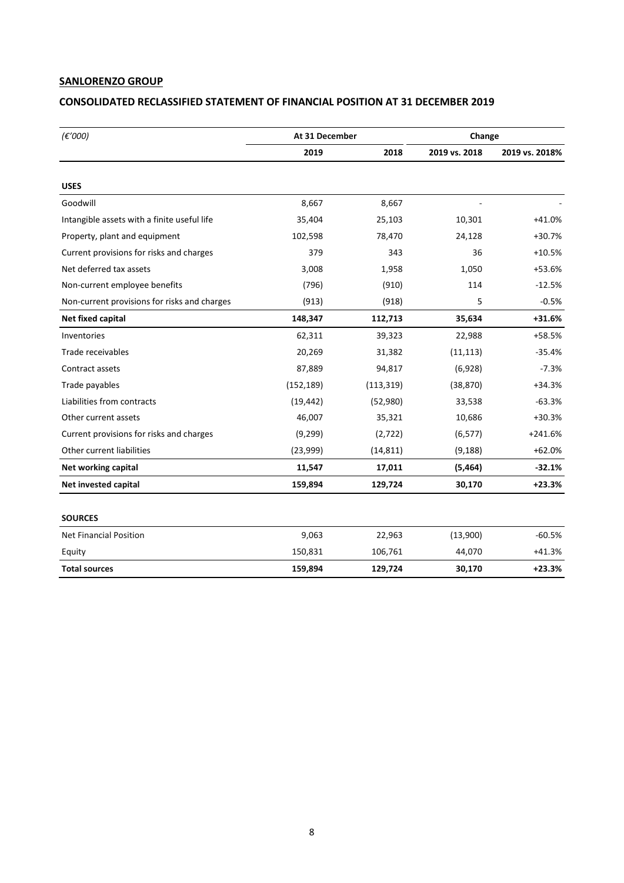# **SANLORENZO GROUP**

# **CONSOLIDATED RECLASSIFIED STATEMENT OF FINANCIAL POSITION AT 31 DECEMBER 2019**

| (E'000)                                      | At 31 December |            | Change        |                |
|----------------------------------------------|----------------|------------|---------------|----------------|
|                                              | 2019           | 2018       | 2019 vs. 2018 | 2019 vs. 2018% |
|                                              |                |            |               |                |
| <b>USES</b>                                  |                |            |               |                |
| Goodwill                                     | 8,667          | 8,667      |               |                |
| Intangible assets with a finite useful life  | 35,404         | 25,103     | 10,301        | $+41.0%$       |
| Property, plant and equipment                | 102,598        | 78,470     | 24,128        | $+30.7%$       |
| Current provisions for risks and charges     | 379            | 343        | 36            | $+10.5%$       |
| Net deferred tax assets                      | 3,008          | 1,958      | 1,050         | +53.6%         |
| Non-current employee benefits                | (796)          | (910)      | 114           | $-12.5%$       |
| Non-current provisions for risks and charges | (913)          | (918)      | 5             | $-0.5%$        |
| Net fixed capital                            | 148,347        | 112,713    | 35,634        | +31.6%         |
| Inventories                                  | 62,311         | 39,323     | 22,988        | +58.5%         |
| Trade receivables                            | 20,269         | 31,382     | (11, 113)     | $-35.4%$       |
| Contract assets                              | 87,889         | 94,817     | (6,928)       | $-7.3%$        |
| Trade payables                               | (152, 189)     | (113, 319) | (38, 870)     | $+34.3%$       |
| Liabilities from contracts                   | (19, 442)      | (52,980)   | 33,538        | $-63.3%$       |
| Other current assets                         | 46,007         | 35,321     | 10,686        | $+30.3%$       |
| Current provisions for risks and charges     | (9, 299)       | (2, 722)   | (6, 577)      | $+241.6%$      |
| Other current liabilities                    | (23,999)       | (14, 811)  | (9, 188)      | $+62.0%$       |
| Net working capital                          | 11,547         | 17,011     | (5, 464)      | $-32.1%$       |
| Net invested capital                         | 159,894        | 129,724    | 30,170        | $+23.3%$       |
| <b>SOURCES</b>                               |                |            |               |                |
| <b>Net Financial Position</b>                | 9,063          | 22,963     | (13,900)      | $-60.5%$       |
| Equity                                       | 150,831        | 106,761    | 44,070        | $+41.3%$       |
| <b>Total sources</b>                         | 159,894        | 129,724    | 30,170        | $+23.3%$       |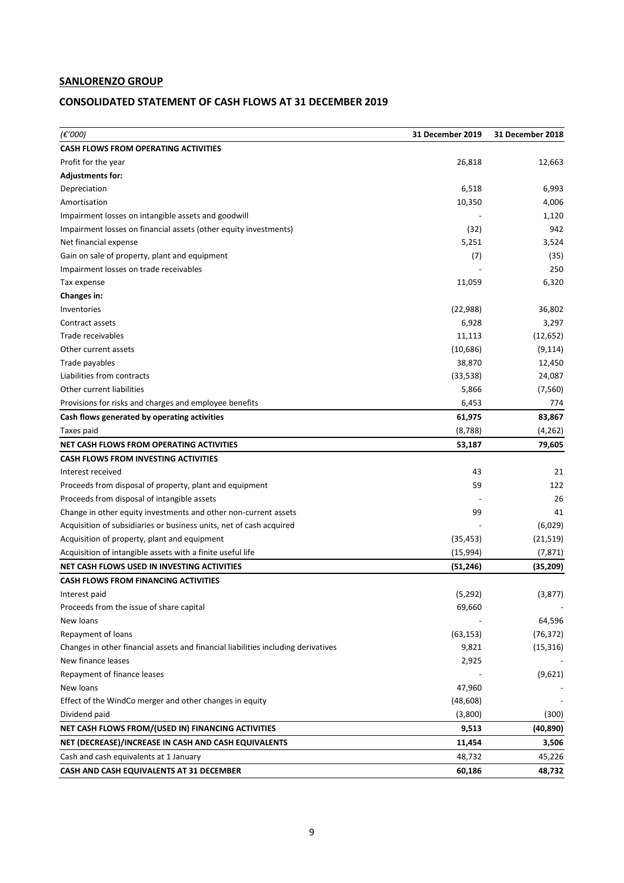# **SANLORENZO GROUP**

# **CONSOLIDATED STATEMENT OF CASH FLOWS AT 31 DECEMBER 2019**

| (€′000)                                                                           | 31 December 2019 | 31 December 2018 |
|-----------------------------------------------------------------------------------|------------------|------------------|
| <b>CASH FLOWS FROM OPERATING ACTIVITIES</b>                                       |                  |                  |
| Profit for the year                                                               | 26,818           | 12,663           |
| <b>Adjustments for:</b>                                                           |                  |                  |
| Depreciation                                                                      | 6,518            | 6,993            |
| Amortisation                                                                      | 10,350           | 4,006            |
| Impairment losses on intangible assets and goodwill                               |                  | 1,120            |
| Impairment losses on financial assets (other equity investments)                  | (32)             | 942              |
| Net financial expense                                                             | 5,251            | 3,524            |
| Gain on sale of property, plant and equipment                                     | (7)              | (35)             |
| Impairment losses on trade receivables                                            |                  | 250              |
| Tax expense                                                                       | 11,059           | 6,320            |
| <b>Changes in:</b>                                                                |                  |                  |
| Inventories                                                                       | (22, 988)        | 36,802           |
| Contract assets                                                                   | 6,928            | 3,297            |
| Trade receivables                                                                 | 11,113           | (12, 652)        |
| Other current assets                                                              | (10,686)         | (9, 114)         |
| Trade payables                                                                    | 38,870           | 12,450           |
| Liabilities from contracts                                                        | (33, 538)        | 24,087           |
| Other current liabilities                                                         | 5,866            | (7, 560)         |
| Provisions for risks and charges and employee benefits                            | 6,453            | 774              |
| Cash flows generated by operating activities                                      | 61,975           | 83,867           |
| Taxes paid                                                                        | (8, 788)         | (4, 262)         |
| NET CASH FLOWS FROM OPERATING ACTIVITIES                                          | 53,187           | 79,605           |
| <b>CASH FLOWS FROM INVESTING ACTIVITIES</b>                                       |                  |                  |
| Interest received                                                                 | 43               | 21               |
| Proceeds from disposal of property, plant and equipment                           | 59               | 122              |
| Proceeds from disposal of intangible assets                                       |                  | 26               |
| Change in other equity investments and other non-current assets                   | 99               | 41               |
| Acquisition of subsidiaries or business units, net of cash acquired               |                  | (6,029)          |
| Acquisition of property, plant and equipment                                      | (35, 453)        | (21, 519)        |
| Acquisition of intangible assets with a finite useful life                        | (15,994)         | (7, 871)         |
| NET CASH FLOWS USED IN INVESTING ACTIVITIES                                       | (51, 246)        | (35, 209)        |
| <b>CASH FLOWS FROM FINANCING ACTIVITIES</b>                                       |                  |                  |
| Interest paid                                                                     | (5, 292)         | (3, 877)         |
| Proceeds from the issue of share capital                                          | 69,660           |                  |
| New loans                                                                         |                  | 64,596           |
| Repayment of loans                                                                | (63, 153)        | (76, 372)        |
| Changes in other financial assets and financial liabilities including derivatives | 9,821            | (15, 316)        |
| New finance leases                                                                | 2,925            |                  |
| Repayment of finance leases                                                       |                  | (9,621)          |
| New loans                                                                         | 47,960           |                  |
| Effect of the WindCo merger and other changes in equity                           | (48, 608)        |                  |
| Dividend paid                                                                     | (3,800)          | (300)            |
| NET CASH FLOWS FROM/(USED IN) FINANCING ACTIVITIES                                | 9,513            | (40, 890)        |
| NET (DECREASE)/INCREASE IN CASH AND CASH EQUIVALENTS                              | 11,454           | 3,506            |
| Cash and cash equivalents at 1 January                                            | 48,732           | 45,226           |
| CASH AND CASH EQUIVALENTS AT 31 DECEMBER                                          | 60,186           | 48,732           |
|                                                                                   |                  |                  |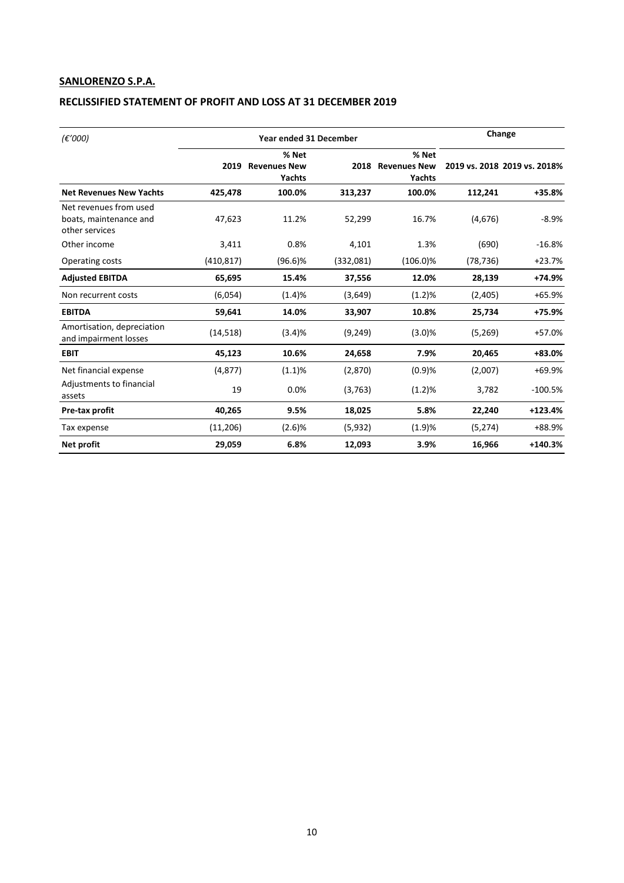# **SANLORENZO S.P.A.**

# **RECLISSIFIED STATEMENT OF PROFIT AND LOSS AT 31 DECEMBER 2019**

| (E'000)                                                            |            | <b>Year ended 31 December</b>          |           |                                      | Change    |                              |  |
|--------------------------------------------------------------------|------------|----------------------------------------|-----------|--------------------------------------|-----------|------------------------------|--|
|                                                                    | 2019       | % Net<br><b>Revenues New</b><br>Yachts |           | % Net<br>2018 Revenues New<br>Yachts |           | 2019 vs. 2018 2019 vs. 2018% |  |
| <b>Net Revenues New Yachts</b>                                     | 425,478    | 100.0%                                 | 313,237   | 100.0%                               | 112,241   | $+35.8%$                     |  |
| Net revenues from used<br>boats, maintenance and<br>other services | 47,623     | 11.2%                                  | 52,299    | 16.7%                                | (4,676)   | $-8.9%$                      |  |
| Other income                                                       | 3,411      | 0.8%                                   | 4,101     | 1.3%                                 | (690)     | $-16.8%$                     |  |
| Operating costs                                                    | (410, 817) | $(96.6)\%$                             | (332,081) | $(106.0)\%$                          | (78, 736) | $+23.7%$                     |  |
| <b>Adjusted EBITDA</b>                                             | 65,695     | 15.4%                                  | 37,556    | 12.0%                                | 28,139    | +74.9%                       |  |
| Non recurrent costs                                                | (6,054)    | (1.4)%                                 | (3,649)   | (1.2)%                               | (2,405)   | +65.9%                       |  |
| <b>EBITDA</b>                                                      | 59,641     | 14.0%                                  | 33,907    | 10.8%                                | 25,734    | $+75.9%$                     |  |
| Amortisation, depreciation<br>and impairment losses                | (14, 518)  | (3.4)%                                 | (9, 249)  | (3.0)%                               | (5,269)   | +57.0%                       |  |
| <b>EBIT</b>                                                        | 45,123     | 10.6%                                  | 24,658    | 7.9%                                 | 20,465    | +83.0%                       |  |
| Net financial expense                                              | (4, 877)   | (1.1)%                                 | (2,870)   | (0.9)%                               | (2,007)   | +69.9%                       |  |
| Adjustments to financial<br>assets                                 | 19         | 0.0%                                   | (3, 763)  | (1.2)%                               | 3,782     | $-100.5%$                    |  |
| Pre-tax profit                                                     | 40,265     | 9.5%                                   | 18,025    | 5.8%                                 | 22,240    | $+123.4%$                    |  |
| Tax expense                                                        | (11, 206)  | (2.6)%                                 | (5,932)   | (1.9)%                               | (5, 274)  | +88.9%                       |  |
| Net profit                                                         | 29,059     | 6.8%                                   | 12,093    | 3.9%                                 | 16,966    | $+140.3%$                    |  |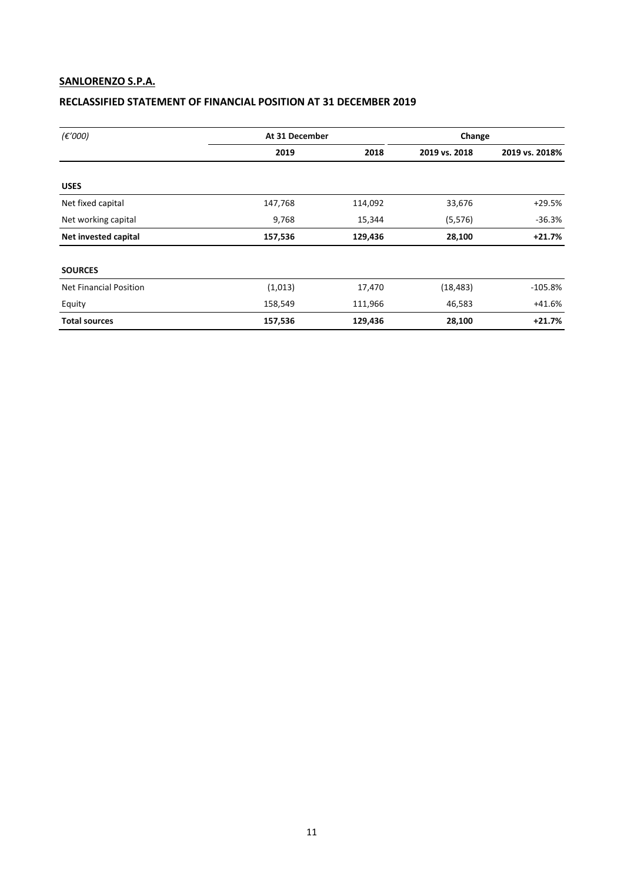# **SANLORENZO S.P.A.**

# **RECLASSIFIED STATEMENT OF FINANCIAL POSITION AT 31 DECEMBER 2019**

| $(\epsilon'000)$              | At 31 December |         | Change        |                |  |
|-------------------------------|----------------|---------|---------------|----------------|--|
|                               | 2019           | 2018    | 2019 vs. 2018 | 2019 vs. 2018% |  |
|                               |                |         |               |                |  |
| <b>USES</b>                   |                |         |               |                |  |
| Net fixed capital             | 147,768        | 114,092 | 33,676        | +29.5%         |  |
| Net working capital           | 9,768          | 15,344  | (5, 576)      | $-36.3%$       |  |
| Net invested capital          | 157,536        | 129,436 | 28,100        | $+21.7%$       |  |
| <b>SOURCES</b>                |                |         |               |                |  |
| <b>Net Financial Position</b> | (1,013)        | 17,470  | (18, 483)     | $-105.8%$      |  |
| Equity                        | 158,549        | 111,966 | 46,583        | +41.6%         |  |
| <b>Total sources</b>          | 157,536        | 129,436 | 28,100        | $+21.7%$       |  |